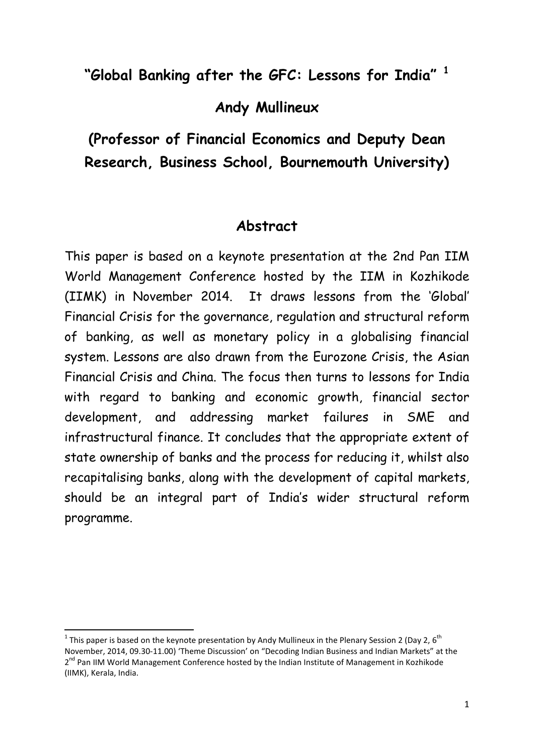**"Global Banking after the GFC: Lessons for India" [1](#page-0-0)**

## **Andy Mullineux**

**(Professor of Financial Economics and Deputy Dean Research, Business School, Bournemouth University)**

# **Abstract**

This paper is based on a keynote presentation at the 2nd Pan IIM World Management Conference hosted by the IIM in Kozhikode (IIMK) in November 2014. It draws lessons from the 'Global' Financial Crisis for the governance, regulation and structural reform of banking, as well as monetary policy in a globalising financial system. Lessons are also drawn from the Eurozone Crisis, the Asian Financial Crisis and China. The focus then turns to lessons for India with regard to banking and economic growth, financial sector development, and addressing market failures in SME and infrastructural finance. It concludes that the appropriate extent of state ownership of banks and the process for reducing it, whilst also recapitalising banks, along with the development of capital markets, should be an integral part of India's wider structural reform programme.

<span id="page-0-0"></span><sup>&</sup>lt;sup>1</sup> This paper is based on the keynote presentation by Andy Mullineux in the Plenary Session 2 (Day 2, 6<sup>th</sup> November, 2014, 09.30-11.00) 'Theme Discussion' on "Decoding Indian Business and Indian Markets" at the 2<sup>nd</sup> Pan IIM World Management Conference hosted by the Indian Institute of Management in Kozhikode (IIMK), Kerala, India.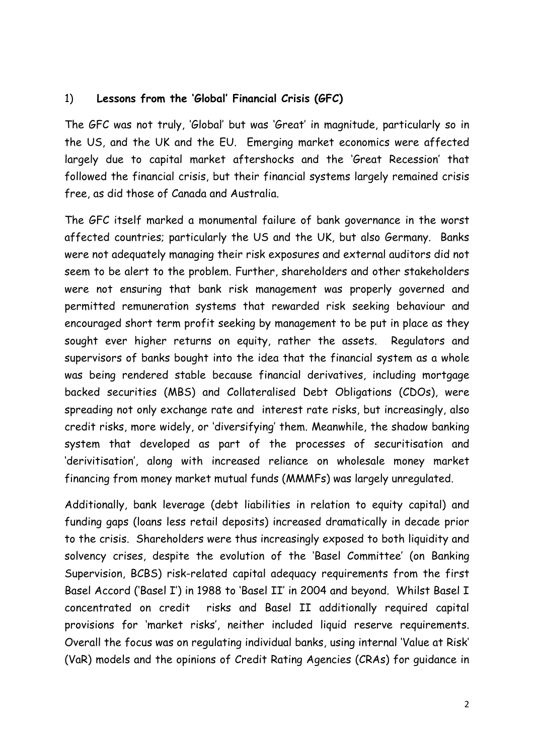#### 1) **Lessons from the 'Global' Financial Crisis (GFC)**

The GFC was not truly, 'Global' but was 'Great' in magnitude, particularly so in the US, and the UK and the EU. Emerging market economics were affected largely due to capital market aftershocks and the 'Great Recession' that followed the financial crisis, but their financial systems largely remained crisis free, as did those of Canada and Australia.

The GFC itself marked a monumental failure of bank governance in the worst affected countries; particularly the US and the UK, but also Germany. Banks were not adequately managing their risk exposures and external auditors did not seem to be alert to the problem. Further, shareholders and other stakeholders were not ensuring that bank risk management was properly governed and permitted remuneration systems that rewarded risk seeking behaviour and encouraged short term profit seeking by management to be put in place as they sought ever higher returns on equity, rather the assets. Regulators and supervisors of banks bought into the idea that the financial system as a whole was being rendered stable because financial derivatives, including mortgage backed securities (MBS) and Collateralised Debt Obligations (CDOs), were spreading not only exchange rate and interest rate risks, but increasingly, also credit risks, more widely, or 'diversifying' them. Meanwhile, the shadow banking system that developed as part of the processes of securitisation and 'derivitisation', along with increased reliance on wholesale money market financing from money market mutual funds (MMMFs) was largely unregulated.

Additionally, bank leverage (debt liabilities in relation to equity capital) and funding gaps (loans less retail deposits) increased dramatically in decade prior to the crisis. Shareholders were thus increasingly exposed to both liquidity and solvency crises, despite the evolution of the 'Basel Committee' (on Banking Supervision, BCBS) risk-related capital adequacy requirements from the first Basel Accord ('Basel I') in 1988 to 'Basel II' in 2004 and beyond. Whilst Basel I concentrated on credit risks and Basel II additionally required capital provisions for 'market risks', neither included liquid reserve requirements. Overall the focus was on regulating individual banks, using internal 'Value at Risk' (VaR) models and the opinions of Credit Rating Agencies (CRAs) for guidance in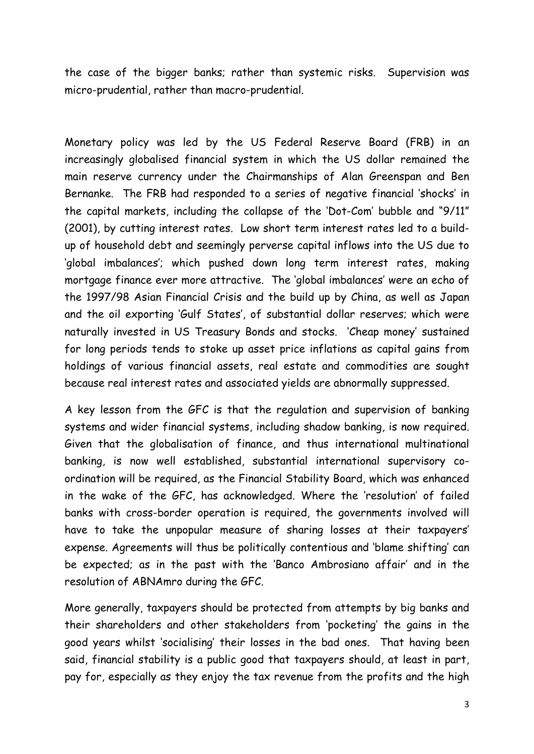the case of the bigger banks; rather than systemic risks. Supervision was micro-prudential, rather than macro-prudential.

Monetary policy was led by the US Federal Reserve Board (FRB) in an increasingly globalised financial system in which the US dollar remained the main reserve currency under the Chairmanships of Alan Greenspan and Ben Bernanke. The FRB had responded to a series of negative financial 'shocks' in the capital markets, including the collapse of the 'Dot-Com' bubble and "9/11" (2001), by cutting interest rates. Low short term interest rates led to a buildup of household debt and seemingly perverse capital inflows into the US due to 'global imbalances'; which pushed down long term interest rates, making mortgage finance ever more attractive. The 'global imbalances' were an echo of the 1997/98 Asian Financial Crisis and the build up by China, as well as Japan and the oil exporting 'Gulf States', of substantial dollar reserves; which were naturally invested in US Treasury Bonds and stocks. 'Cheap money' sustained for long periods tends to stoke up asset price inflations as capital gains from holdings of various financial assets, real estate and commodities are sought because real interest rates and associated yields are abnormally suppressed.

A key lesson from the GFC is that the regulation and supervision of banking systems and wider financial systems, including shadow banking, is now required. Given that the globalisation of finance, and thus international multinational banking, is now well established, substantial international supervisory coordination will be required, as the Financial Stability Board, which was enhanced in the wake of the GFC, has acknowledged. Where the 'resolution' of failed banks with cross-border operation is required, the governments involved will have to take the unpopular measure of sharing losses at their taxpayers' expense. Agreements will thus be politically contentious and 'blame shifting' can be expected; as in the past with the 'Banco Ambrosiano affair' and in the resolution of ABNAmro during the GFC.

More generally, taxpayers should be protected from attempts by big banks and their shareholders and other stakeholders from 'pocketing' the gains in the good years whilst 'socialising' their losses in the bad ones. That having been said, financial stability is a public good that taxpayers should, at least in part, pay for, especially as they enjoy the tax revenue from the profits and the high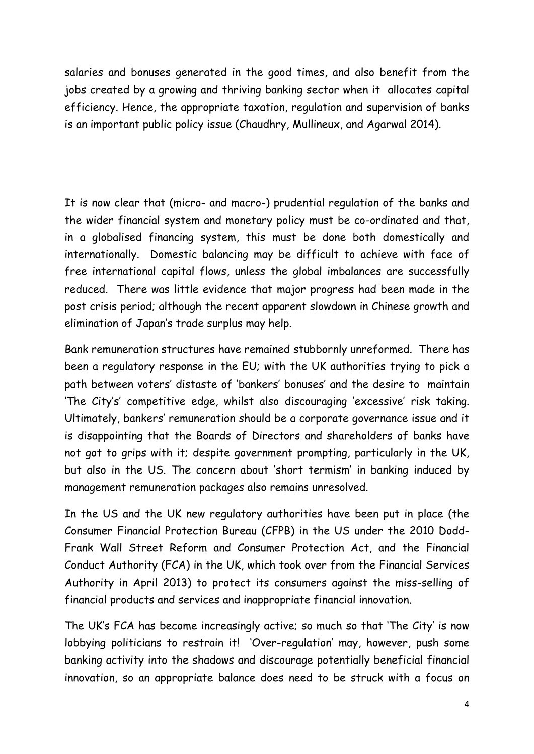salaries and bonuses generated in the good times, and also benefit from the jobs created by a growing and thriving banking sector when it allocates capital efficiency. Hence, the appropriate taxation, regulation and supervision of banks is an important public policy issue (Chaudhry, Mullineux, and Agarwal 2014).

It is now clear that (micro- and macro-) prudential regulation of the banks and the wider financial system and monetary policy must be co-ordinated and that, in a globalised financing system, this must be done both domestically and internationally. Domestic balancing may be difficult to achieve with face of free international capital flows, unless the global imbalances are successfully reduced. There was little evidence that major progress had been made in the post crisis period; although the recent apparent slowdown in Chinese growth and elimination of Japan's trade surplus may help.

Bank remuneration structures have remained stubbornly unreformed. There has been a regulatory response in the EU; with the UK authorities trying to pick a path between voters' distaste of 'bankers' bonuses' and the desire to maintain 'The City's' competitive edge, whilst also discouraging 'excessive' risk taking. Ultimately, bankers' remuneration should be a corporate governance issue and it is disappointing that the Boards of Directors and shareholders of banks have not got to grips with it; despite government prompting, particularly in the UK, but also in the US. The concern about 'short termism' in banking induced by management remuneration packages also remains unresolved.

In the US and the UK new regulatory authorities have been put in place (the Consumer Financial Protection Bureau (CFPB) in the US under the 2010 Dodd-Frank Wall Street Reform and Consumer Protection Act, and the Financial Conduct Authority (FCA) in the UK, which took over from the Financial Services Authority in April 2013) to protect its consumers against the miss-selling of financial products and services and inappropriate financial innovation.

The UK's FCA has become increasingly active; so much so that 'The City' is now lobbying politicians to restrain it! 'Over-regulation' may, however, push some banking activity into the shadows and discourage potentially beneficial financial innovation, so an appropriate balance does need to be struck with a focus on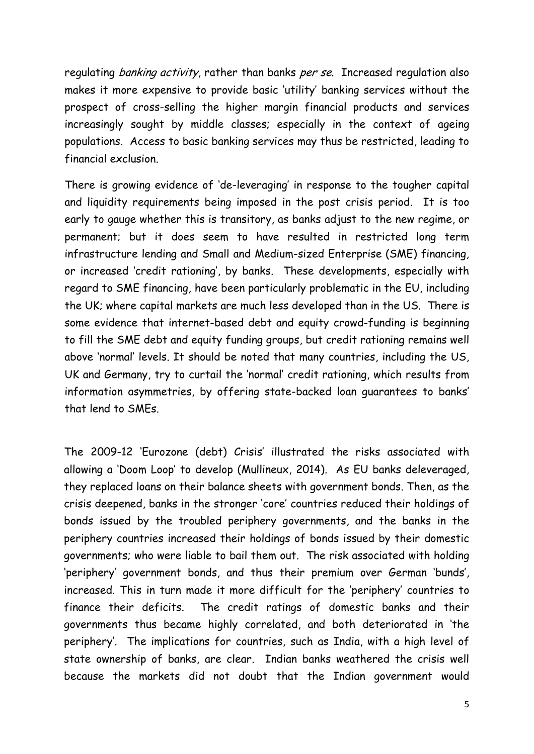regulating banking activity, rather than banks per se. Increased regulation also makes it more expensive to provide basic 'utility' banking services without the prospect of cross-selling the higher margin financial products and services increasingly sought by middle classes; especially in the context of ageing populations. Access to basic banking services may thus be restricted, leading to financial exclusion.

There is growing evidence of 'de-leveraging' in response to the tougher capital and liquidity requirements being imposed in the post crisis period. It is too early to gauge whether this is transitory, as banks adjust to the new regime, or permanent; but it does seem to have resulted in restricted long term infrastructure lending and Small and Medium-sized Enterprise (SME) financing, or increased 'credit rationing', by banks. These developments, especially with regard to SME financing, have been particularly problematic in the EU, including the UK; where capital markets are much less developed than in the US. There is some evidence that internet-based debt and equity crowd-funding is beginning to fill the SME debt and equity funding groups, but credit rationing remains well above 'normal' levels. It should be noted that many countries, including the US, UK and Germany, try to curtail the 'normal' credit rationing, which results from information asymmetries, by offering state-backed loan guarantees to banks' that lend to SMEs.

The 2009-12 'Eurozone (debt) Crisis' illustrated the risks associated with allowing a 'Doom Loop' to develop (Mullineux, 2014). As EU banks deleveraged, they replaced loans on their balance sheets with government bonds. Then, as the crisis deepened, banks in the stronger 'core' countries reduced their holdings of bonds issued by the troubled periphery governments, and the banks in the periphery countries increased their holdings of bonds issued by their domestic governments; who were liable to bail them out. The risk associated with holding 'periphery' government bonds, and thus their premium over German 'bunds', increased. This in turn made it more difficult for the 'periphery' countries to finance their deficits. The credit ratings of domestic banks and their governments thus became highly correlated, and both deteriorated in 'the periphery'. The implications for countries, such as India, with a high level of state ownership of banks, are clear. Indian banks weathered the crisis well because the markets did not doubt that the Indian government would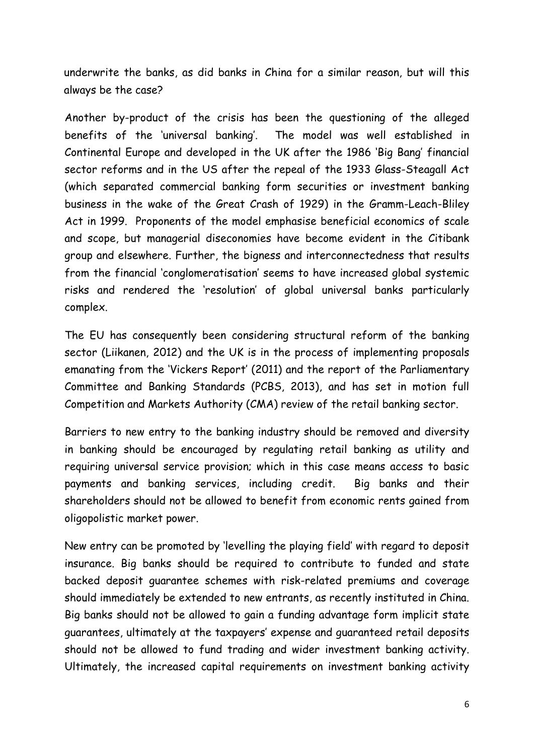underwrite the banks, as did banks in China for a similar reason, but will this always be the case?

Another by-product of the crisis has been the questioning of the alleged benefits of the 'universal banking'. The model was well established in Continental Europe and developed in the UK after the 1986 'Big Bang' financial sector reforms and in the US after the repeal of the 1933 Glass-Steagall Act (which separated commercial banking form securities or investment banking business in the wake of the Great Crash of 1929) in the Gramm-Leach-Bliley Act in 1999. Proponents of the model emphasise beneficial economics of scale and scope, but managerial diseconomies have become evident in the Citibank group and elsewhere. Further, the bigness and interconnectedness that results from the financial 'conglomeratisation' seems to have increased global systemic risks and rendered the 'resolution' of global universal banks particularly complex.

The EU has consequently been considering structural reform of the banking sector (Liikanen, 2012) and the UK is in the process of implementing proposals emanating from the 'Vickers Report' (2011) and the report of the Parliamentary Committee and Banking Standards (PCBS, 2013), and has set in motion full Competition and Markets Authority (CMA) review of the retail banking sector.

Barriers to new entry to the banking industry should be removed and diversity in banking should be encouraged by regulating retail banking as utility and requiring universal service provision; which in this case means access to basic payments and banking services, including credit. Big banks and their shareholders should not be allowed to benefit from economic rents gained from oligopolistic market power.

New entry can be promoted by 'levelling the playing field' with regard to deposit insurance. Big banks should be required to contribute to funded and state backed deposit guarantee schemes with risk-related premiums and coverage should immediately be extended to new entrants, as recently instituted in China. Big banks should not be allowed to gain a funding advantage form implicit state guarantees, ultimately at the taxpayers' expense and guaranteed retail deposits should not be allowed to fund trading and wider investment banking activity. Ultimately, the increased capital requirements on investment banking activity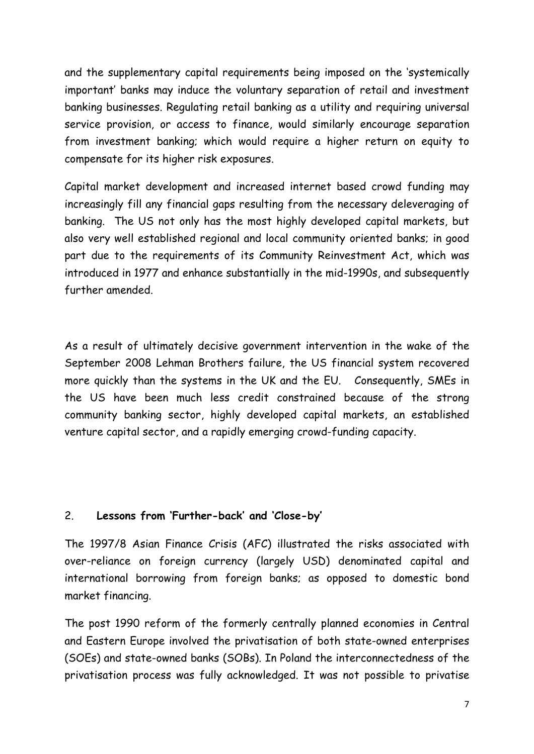and the supplementary capital requirements being imposed on the 'systemically important' banks may induce the voluntary separation of retail and investment banking businesses. Regulating retail banking as a utility and requiring universal service provision, or access to finance, would similarly encourage separation from investment banking; which would require a higher return on equity to compensate for its higher risk exposures.

Capital market development and increased internet based crowd funding may increasingly fill any financial gaps resulting from the necessary deleveraging of banking. The US not only has the most highly developed capital markets, but also very well established regional and local community oriented banks; in good part due to the requirements of its Community Reinvestment Act, which was introduced in 1977 and enhance substantially in the mid-1990s, and subsequently further amended.

As a result of ultimately decisive government intervention in the wake of the September 2008 Lehman Brothers failure, the US financial system recovered more quickly than the systems in the UK and the EU. Consequently, SMEs in the US have been much less credit constrained because of the strong community banking sector, highly developed capital markets, an established venture capital sector, and a rapidly emerging crowd-funding capacity.

### 2. **Lessons from 'Further-back' and 'Close-by'**

The 1997/8 Asian Finance Crisis (AFC) illustrated the risks associated with over-reliance on foreign currency (largely USD) denominated capital and international borrowing from foreign banks; as opposed to domestic bond market financing.

The post 1990 reform of the formerly centrally planned economies in Central and Eastern Europe involved the privatisation of both state-owned enterprises (SOEs) and state-owned banks (SOBs). In Poland the interconnectedness of the privatisation process was fully acknowledged. It was not possible to privatise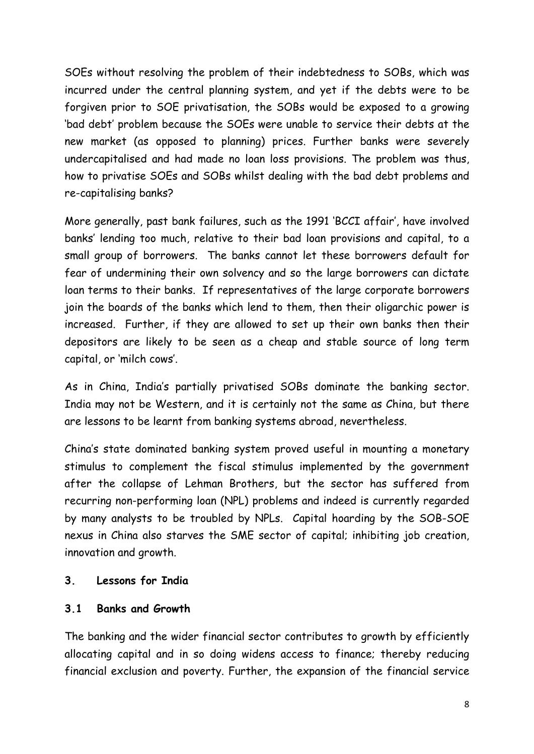SOEs without resolving the problem of their indebtedness to SOBs, which was incurred under the central planning system, and yet if the debts were to be forgiven prior to SOE privatisation, the SOBs would be exposed to a growing 'bad debt' problem because the SOEs were unable to service their debts at the new market (as opposed to planning) prices. Further banks were severely undercapitalised and had made no loan loss provisions. The problem was thus, how to privatise SOEs and SOBs whilst dealing with the bad debt problems and re-capitalising banks?

More generally, past bank failures, such as the 1991 'BCCI affair', have involved banks' lending too much, relative to their bad loan provisions and capital, to a small group of borrowers. The banks cannot let these borrowers default for fear of undermining their own solvency and so the large borrowers can dictate loan terms to their banks. If representatives of the large corporate borrowers join the boards of the banks which lend to them, then their oligarchic power is increased. Further, if they are allowed to set up their own banks then their depositors are likely to be seen as a cheap and stable source of long term capital, or 'milch cows'.

As in China, India's partially privatised SOBs dominate the banking sector. India may not be Western, and it is certainly not the same as China, but there are lessons to be learnt from banking systems abroad, nevertheless.

China's state dominated banking system proved useful in mounting a monetary stimulus to complement the fiscal stimulus implemented by the government after the collapse of Lehman Brothers, but the sector has suffered from recurring non-performing loan (NPL) problems and indeed is currently regarded by many analysts to be troubled by NPLs. Capital hoarding by the SOB-SOE nexus in China also starves the SME sector of capital; inhibiting job creation, innovation and growth.

### **3. Lessons for India**

### **3.1 Banks and Growth**

The banking and the wider financial sector contributes to growth by efficiently allocating capital and in so doing widens access to finance; thereby reducing financial exclusion and poverty. Further, the expansion of the financial service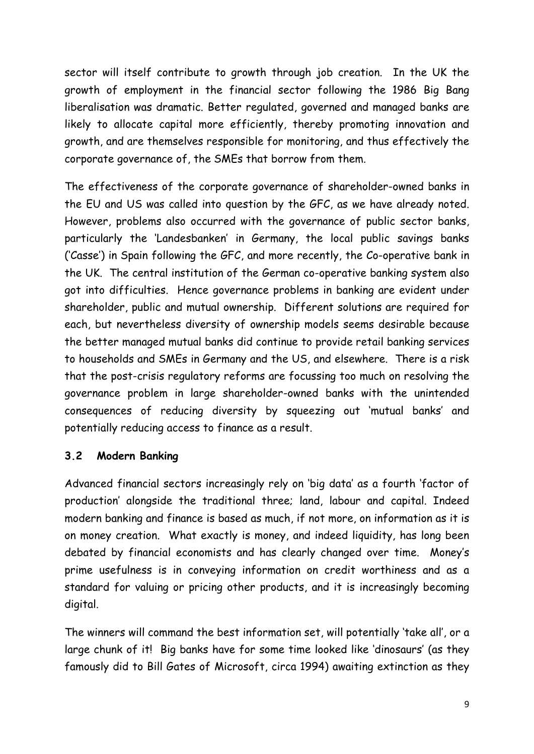sector will itself contribute to growth through job creation. In the UK the growth of employment in the financial sector following the 1986 Big Bang liberalisation was dramatic. Better regulated, governed and managed banks are likely to allocate capital more efficiently, thereby promoting innovation and growth, and are themselves responsible for monitoring, and thus effectively the corporate governance of, the SMEs that borrow from them.

The effectiveness of the corporate governance of shareholder-owned banks in the EU and US was called into question by the GFC, as we have already noted. However, problems also occurred with the governance of public sector banks, particularly the 'Landesbanken' in Germany, the local public savings banks ('Casse') in Spain following the GFC, and more recently, the Co-operative bank in the UK. The central institution of the German co-operative banking system also got into difficulties. Hence governance problems in banking are evident under shareholder, public and mutual ownership. Different solutions are required for each, but nevertheless diversity of ownership models seems desirable because the better managed mutual banks did continue to provide retail banking services to households and SMEs in Germany and the US, and elsewhere. There is a risk that the post-crisis regulatory reforms are focussing too much on resolving the governance problem in large shareholder-owned banks with the unintended consequences of reducing diversity by squeezing out 'mutual banks' and potentially reducing access to finance as a result.

### **3.2 Modern Banking**

Advanced financial sectors increasingly rely on 'big data' as a fourth 'factor of production' alongside the traditional three; land, labour and capital. Indeed modern banking and finance is based as much, if not more, on information as it is on money creation. What exactly is money, and indeed liquidity, has long been debated by financial economists and has clearly changed over time. Money's prime usefulness is in conveying information on credit worthiness and as a standard for valuing or pricing other products, and it is increasingly becoming digital.

The winners will command the best information set, will potentially 'take all', or a large chunk of it! Big banks have for some time looked like 'dinosaurs' (as they famously did to Bill Gates of Microsoft, circa 1994) awaiting extinction as they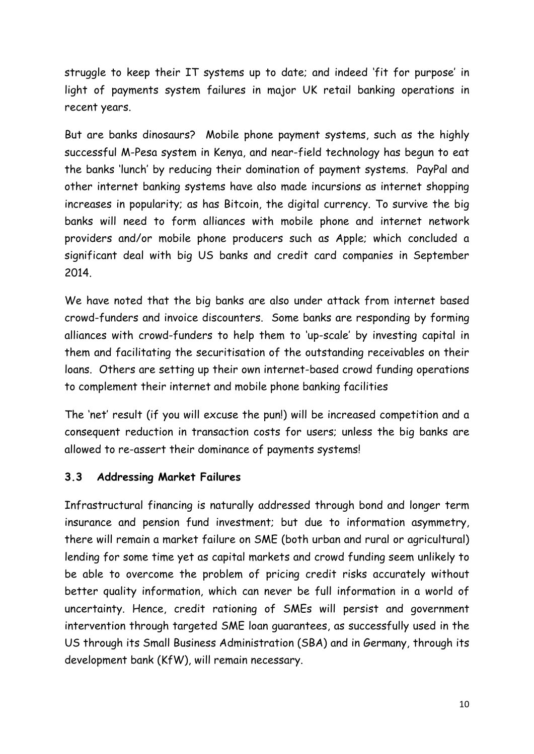struggle to keep their IT systems up to date; and indeed 'fit for purpose' in light of payments system failures in major UK retail banking operations in recent years.

But are banks dinosaurs? Mobile phone payment systems, such as the highly successful M-Pesa system in Kenya, and near-field technology has begun to eat the banks 'lunch' by reducing their domination of payment systems. PayPal and other internet banking systems have also made incursions as internet shopping increases in popularity; as has Bitcoin, the digital currency. To survive the big banks will need to form alliances with mobile phone and internet network providers and/or mobile phone producers such as Apple; which concluded a significant deal with big US banks and credit card companies in September 2014.

We have noted that the big banks are also under attack from internet based crowd-funders and invoice discounters. Some banks are responding by forming alliances with crowd-funders to help them to 'up-scale' by investing capital in them and facilitating the securitisation of the outstanding receivables on their loans. Others are setting up their own internet-based crowd funding operations to complement their internet and mobile phone banking facilities

The 'net' result (if you will excuse the pun!) will be increased competition and a consequent reduction in transaction costs for users; unless the big banks are allowed to re-assert their dominance of payments systems!

### **3.3 Addressing Market Failures**

Infrastructural financing is naturally addressed through bond and longer term insurance and pension fund investment; but due to information asymmetry, there will remain a market failure on SME (both urban and rural or agricultural) lending for some time yet as capital markets and crowd funding seem unlikely to be able to overcome the problem of pricing credit risks accurately without better quality information, which can never be full information in a world of uncertainty. Hence, credit rationing of SMEs will persist and government intervention through targeted SME loan guarantees, as successfully used in the US through its Small Business Administration (SBA) and in Germany, through its development bank (KfW), will remain necessary.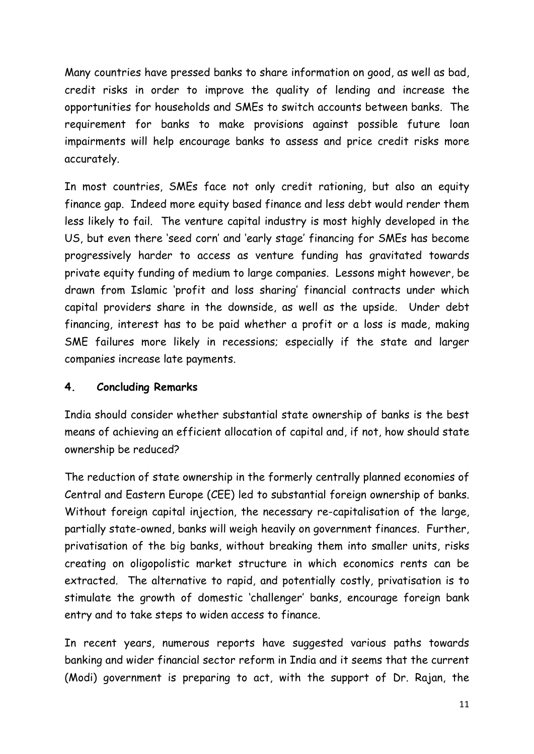Many countries have pressed banks to share information on good, as well as bad, credit risks in order to improve the quality of lending and increase the opportunities for households and SMEs to switch accounts between banks. The requirement for banks to make provisions against possible future loan impairments will help encourage banks to assess and price credit risks more accurately.

In most countries, SMEs face not only credit rationing, but also an equity finance gap. Indeed more equity based finance and less debt would render them less likely to fail. The venture capital industry is most highly developed in the US, but even there 'seed corn' and 'early stage' financing for SMEs has become progressively harder to access as venture funding has gravitated towards private equity funding of medium to large companies. Lessons might however, be drawn from Islamic 'profit and loss sharing' financial contracts under which capital providers share in the downside, as well as the upside. Under debt financing, interest has to be paid whether a profit or a loss is made, making SME failures more likely in recessions; especially if the state and larger companies increase late payments.

### **4. Concluding Remarks**

India should consider whether substantial state ownership of banks is the best means of achieving an efficient allocation of capital and, if not, how should state ownership be reduced?

The reduction of state ownership in the formerly centrally planned economies of Central and Eastern Europe (CEE) led to substantial foreign ownership of banks. Without foreign capital injection, the necessary re-capitalisation of the large, partially state-owned, banks will weigh heavily on government finances. Further, privatisation of the big banks, without breaking them into smaller units, risks creating on oligopolistic market structure in which economics rents can be extracted. The alternative to rapid, and potentially costly, privatisation is to stimulate the growth of domestic 'challenger' banks, encourage foreign bank entry and to take steps to widen access to finance.

In recent years, numerous reports have suggested various paths towards banking and wider financial sector reform in India and it seems that the current (Modi) government is preparing to act, with the support of Dr. Rajan, the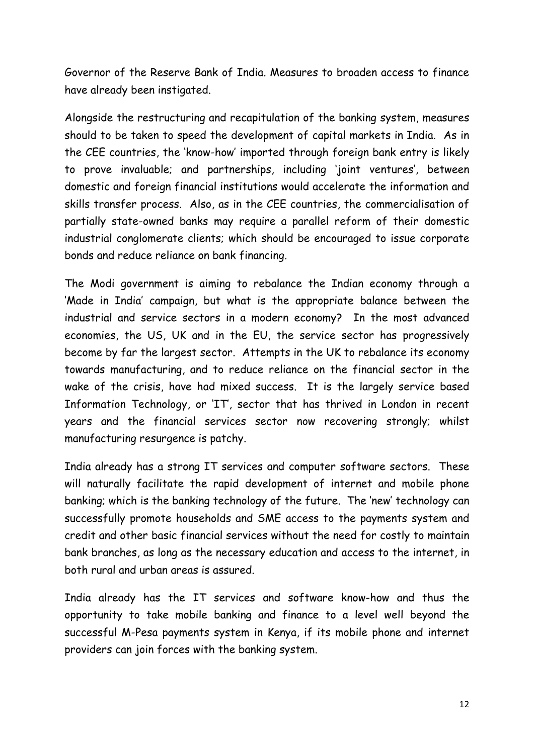Governor of the Reserve Bank of India. Measures to broaden access to finance have already been instigated.

Alongside the restructuring and recapitulation of the banking system, measures should to be taken to speed the development of capital markets in India. As in the CEE countries, the 'know-how' imported through foreign bank entry is likely to prove invaluable; and partnerships, including 'joint ventures', between domestic and foreign financial institutions would accelerate the information and skills transfer process. Also, as in the CEE countries, the commercialisation of partially state-owned banks may require a parallel reform of their domestic industrial conglomerate clients; which should be encouraged to issue corporate bonds and reduce reliance on bank financing.

The Modi government is aiming to rebalance the Indian economy through a 'Made in India' campaign, but what is the appropriate balance between the industrial and service sectors in a modern economy? In the most advanced economies, the US, UK and in the EU, the service sector has progressively become by far the largest sector. Attempts in the UK to rebalance its economy towards manufacturing, and to reduce reliance on the financial sector in the wake of the crisis, have had mixed success. It is the largely service based Information Technology, or 'IT', sector that has thrived in London in recent years and the financial services sector now recovering strongly; whilst manufacturing resurgence is patchy.

India already has a strong IT services and computer software sectors. These will naturally facilitate the rapid development of internet and mobile phone banking; which is the banking technology of the future. The 'new' technology can successfully promote households and SME access to the payments system and credit and other basic financial services without the need for costly to maintain bank branches, as long as the necessary education and access to the internet, in both rural and urban areas is assured.

India already has the IT services and software know-how and thus the opportunity to take mobile banking and finance to a level well beyond the successful M-Pesa payments system in Kenya, if its mobile phone and internet providers can join forces with the banking system.